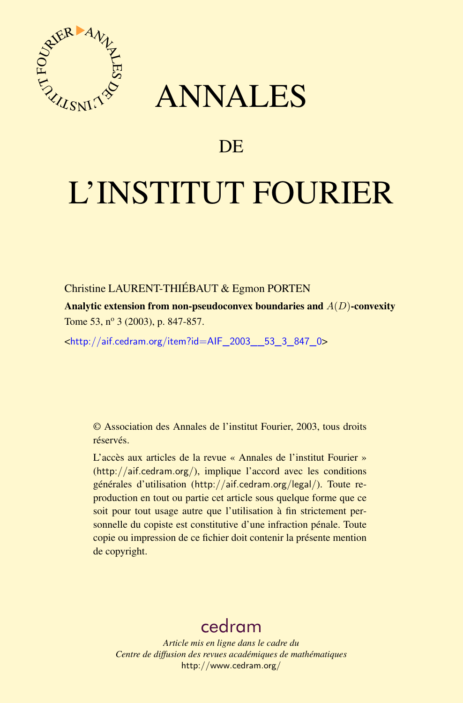



# DE

# L'INSTITUT FOURIER

Christine LAURENT-THIÉBAUT & Egmon PORTEN

Analytic extension from non-pseudoconvex boundaries and  $A(D)$ -convexity Tome 53, nº 3 (2003), p. 847-857.

<[http://aif.cedram.org/item?id=AIF\\_2003\\_\\_53\\_3\\_847\\_0](http://aif.cedram.org/item?id=AIF_2003__53_3_847_0)>

© Association des Annales de l'institut Fourier, 2003, tous droits réservés.

L'accès aux articles de la revue « Annales de l'institut Fourier » (<http://aif.cedram.org/>), implique l'accord avec les conditions générales d'utilisation (<http://aif.cedram.org/legal/>). Toute reproduction en tout ou partie cet article sous quelque forme que ce soit pour tout usage autre que l'utilisation à fin strictement personnelle du copiste est constitutive d'une infraction pénale. Toute copie ou impression de ce fichier doit contenir la présente mention de copyright.

# [cedram](http://www.cedram.org/)

*Article mis en ligne dans le cadre du Centre de diffusion des revues académiques de mathématiques* <http://www.cedram.org/>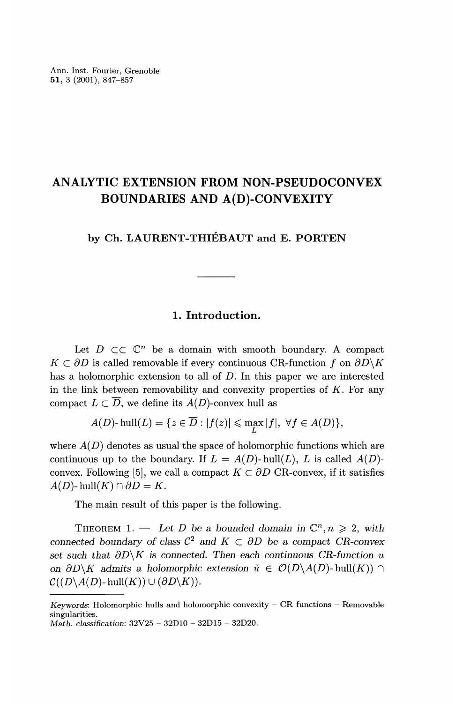## ANALYTIC EXTENSION FROM NON-PSEUDOCONVEX BOUNDARIES AND A(D)-CONVEXITY

## by Ch. LAURENT-THIÉBAUT and E. PORTEN

#### 1. Introduction.

Let  $D \subset\subset \mathbb{C}^n$  be a domain with smooth boundary. A compact  $K \subset \partial D$  is called removable if every continuous CR-function f on  $\partial D\backslash K$ has a holomorphic extension to all of D. In this paper we are interested in the link between removability and convexity properties of  $K$ . For any compact  $L \subset \overline{D}$ , we define its  $A(D)$ -convex hull as

$$
A(D)\text{- hull}(L) = \{z \in \overline{D} : |f(z)| \leq \max_{L} |f|, \ \forall f \in A(D)\},
$$

where  $A(D)$  denotes as usual the space of holomorphic functions which are continuous up to the boundary. If  $L = A(D)$ - hull $(L)$ ,  $L$  is called  $A(D)$ -convex. Following [5], we call a compact  $K \subset \partial D$  CR-convex, if it satisfies  $A(D)$ - hull $(K) \cap \partial D = K$ .

The main result of this paper is the following.

THEOREM 1. - Let D be a bounded domain in  $\mathbb{C}^n, n \geq 2$ , with connected boundary of class  $\mathcal{C}^2$  and  $K \subset \partial D$  be a compact CR-convex set such that  $\partial D\backslash K$  is connected. Then each continuous CR-function u on  $\partial D\backslash K$  admits a holomorphic extension  $\tilde{u} \in \mathcal{O}(D\backslash A(D)$ -hull $(K)$ )  $\cap$  $\mathcal{C}((D \backslash A(D)$ -hull $(K)) \cup (\partial D \backslash K)$ .

Keywords: Holomorphic hulls and holomorphic convexity  $-$  CR functions  $-$  Removable singularities.

Math. classification: 32V25 - 32DlO - 32D15 - 32D20.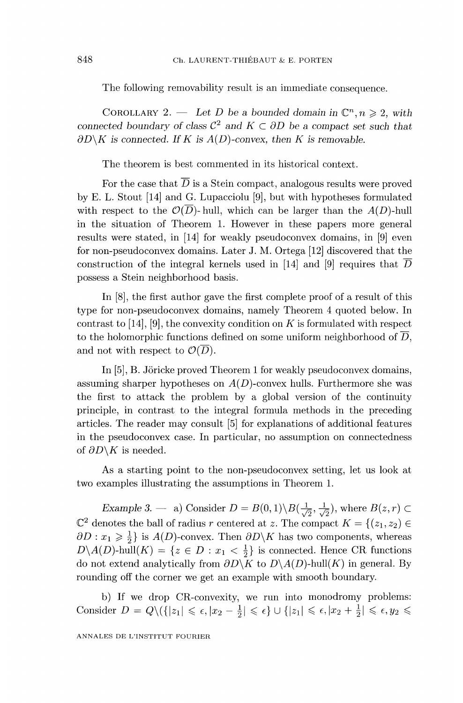The following removability result is an immediate consequence.

COROLLARY 2. - Let D be a bounded domain in  $\mathbb{C}^n, n \geq 2$ , with connected boundary of class  $\mathcal{C}^2$  and  $K \subset \partial D$  be a compact set such that  $\partial D\backslash K$  is connected. If K is  $A(D)$ -convex, then K is removable.

The theorem is best commented in its historical context.

For the case that  $\overline{D}$  is a Stein compact, analogous results were proved by E. L. Stout [14] and G. Lupacciolu [9], but with hypotheses formulated with respect to the  $\mathcal{O}(\overline{D})$ -hull, which can be larger than the  $A(D)$ -hull in the situation of Theorem 1. However in these papers more general results were stated, in [14] for weakly pseudoconvex domains, in [9] even for non-pseudoconvex domains. Later J. M. Ortega [12] discovered that the construction of the integral kernels used in [14] and [9] requires that  $\overline{D}$ possess a Stein neighborhood basis.

In [8], the first author gave the first complete proof of a result of this type for non-pseudoconvex domains, namely Theorem 4 quoted below. In contrast to  $[14]$ ,  $[9]$ , the convexity condition on K is formulated with respect to the holomorphic functions defined on some uniform neighborhood of  $\overline{D}$ , and not with respect to  $\mathcal{O}(\overline{D})$ .

In [5], B. Jöricke proved Theorem 1 for weakly pseudoconvex domains, assuming sharper hypotheses on  $A(D)$ -convex hulls. Furthermore she was the first to attack the problem by a global version of the continuity principle, in contrast to the integral formula methods in the preceding articles. The reader may consult [5] for explanations of additional features in the pseudoconvex case. In particular, no assumption on connectedness of  $\partial D\backslash K$  is needed.

As a starting point to the non-pseudoconvex setting, let us look at two examples illustrating the assumptions in Theorem 1.

Example 3. – a) Consider  $D = B(0,1) \setminus B(\frac{1}{\sqrt{2}}, \frac{1}{\sqrt{2}})$ , where  $B(z,r)$  $\mathbb{C}^2$  denotes the ball of radius r centered at z. The compact  $K = \{(z_1, z_2) \in \mathbb{C}^2\}$  $\partial D : x_1 \geq \frac{1}{2}$  is  $A(D)$ -convex. Then  $\partial D \backslash K$  has two components, whereas  $D\setminus A(D)$ -hull $(K) = \{z \in D : x_1 < \frac{1}{2}\}\$ is connected. Hence CR functions do not extend analytically from  $\partial D\backslash K$  to  $D\backslash A(D)$ -hull $(K)$  in general. By rounding off the corner we get an example with smooth boundary.

b) If we drop CR-convexity, we run into monodromy problems: Consider  $D = Q \setminus (\{|z_1| \leqslant \epsilon, |x_2 - \frac{1}{2}| \leqslant \epsilon \} \cup \{|z_1| \leqslant \epsilon, |x_2 + \frac{1}{2}| \leqslant \epsilon, y_2 \leqslant \epsilon \}$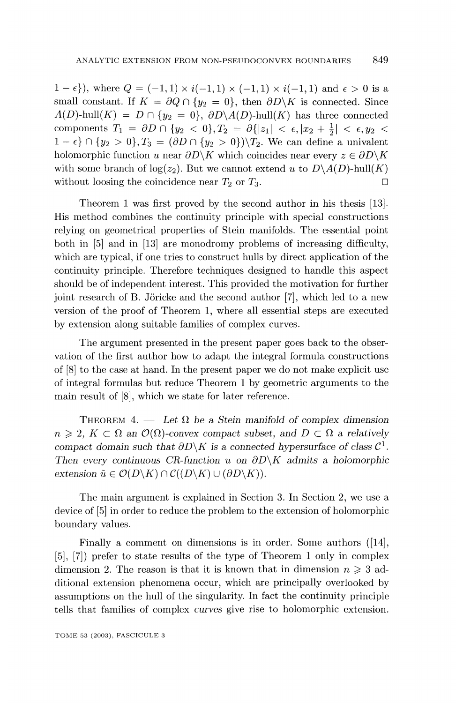$1 - \epsilon$ }, where  $Q = (-1, 1) \times i(-1, 1) \times (-1, 1) \times i(-1, 1)$  and  $\epsilon > 0$  is a small constant. If  $K = \partial Q \cap \{y_2 = 0\}$ , then  $\partial D \backslash K$  is connected. Since  $A(D)$ -hull $(K) = D \cap \{y_2 = 0\}, \ \partial D \setminus A(D)$ -hull $(K)$  has three connected components  $T_1 = \partial D \cap \{y_2 < 0\}, T_2 = \partial\{|z_1| < \epsilon, |x_2 + \frac{1}{2}| < \epsilon, y_2 < \epsilon\}$  $1 - \epsilon$   $\cap$   $\{y_2 > 0\}$ ,  $T_3 = (\partial D \cap \{y_2 > 0\})$   $\{T_2$ . We can define a univalent holomorphic function u near  $\partial D\backslash K$  which coincides near every  $z \in \partial D\backslash K$ with some branch of  $log(z_2)$ . But we cannot extend u to  $D\setminus A(D)$ -hull(K) without loosing the coincidence near  $T_2$  or  $T_3$ .

Theorem 1 was first proved by the second author in his thesis [13]. His method combines the continuity principle with special constructions relying on geometrical properties of Stein manifolds. The essential point both in [5] and in [13] are monodromy problems of increasing difficulty, which are typical, if one tries to construct hulls by direct application of the continuity principle. Therefore techniques designed to handle this aspect should be of independent interest. This provided the motivation for further joint research of B. Joricke and the second author [7], which led to a new version of the proof of Theorem 1, where all essential steps are executed by extension along suitable families of complex curves.

The argument presented in the present paper goes back to the observation of the first author how to adapt the integral formula constructions of [8] to the case at hand. In the present paper we do not make explicit use of integral formulas but reduce Theorem 1 by geometric arguments to the main result of [8], which we state for later reference.

THEOREM 4.  $-$  Let  $\Omega$  be a Stein manifold of complex dimension  $n \geq 2$ ,  $K \subset \Omega$  an  $\mathcal{O}(\Omega)$ -convex compact subset, and  $D \subset \Omega$  a relatively compact domain such that  $\partial D\backslash K$  is a connected hypersurface of class  $\mathcal{C}^1$ . Then every continuous CR-function u on  $\partial D\backslash K$  admits a holomorphic extension  $\tilde{u} \in \mathcal{O}(D\backslash K) \cap \mathcal{C}((D\backslash K) \cup (\partial D\backslash K)).$ 

The main argument is explained in Section 3. In Section 2, we use a device of [5] in order to reduce the problem to the extension of holomorphic boundary values.

Finally a comment on dimensions is in order. Some authors ([14], [5], [7]) prefer to state results of the type of Theorem 1 only in complex dimension 2. The reason is that it is known that in dimension  $n \geq 3$  additional extension phenomena occur, which are principally overlooked by assumptions on the hull of the singularity. In fact the continuity principle tells that families of complex curves give rise to holomorphic extension.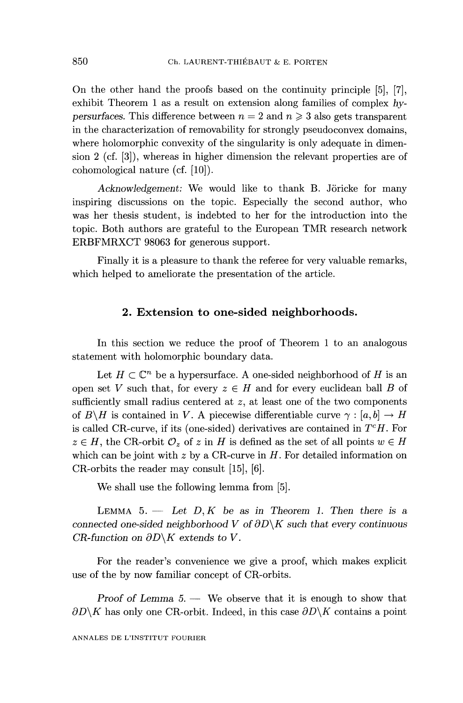On the other hand the proofs based on the continuity principle [5], [7], exhibit Theorem 1 as a result on extension along families of complex hypersurfaces. This difference between  $n = 2$  and  $n \geq 3$  also gets transparent in the characterization of removability for strongly pseudoconvex domains, where holomorphic convexity of the singularity is only adequate in dimension 2 (cf. [3]), whereas in higher dimension the relevant properties are of cohomological nature (cf. [10]).

Acknowledgement: We would like to thank B. Jöricke for many inspiring discussions on the topic. Especially the second author, who was her thesis student, is indebted to her for the introduction into the topic. Both authors are grateful to the European TMR research network ERBFMRXCT 98063 for generous support.

Finally it is a pleasure to thank the referee for very valuable remarks, which helped to ameliorate the presentation of the article.

#### 2. Extension to one-sided neighborhoods.

In this section we reduce the proof of Theorem 1 to an analogous statement with holomorphic boundary data.

Let  $H \subset \mathbb{C}^n$  be a hypersurface. A one-sided neighborhood of H is an open set V such that, for every  $z \in H$  and for every euclidean ball B of sufficiently small radius centered at z, at least one of the two components of  $B\backslash H$  is contained in V. A piecewise differentiable curve  $\gamma : [a, b] \to H$ is called CR-curve, if its (one-sided) derivatives are contained in  $T<sup>c</sup>H$ . For  $z \in H$ , the CR-orbit  $\mathcal{O}_z$  of z in H is defined as the set of all points  $w \in H$ which can be joint with z by a CR-curve in  $H$ . For detailed information on CR-orbits the reader may consult [15], [6].

We shall use the following lemma from [5].

LEMMA 5.  $-$  Let D, K be as in Theorem 1. Then there is a connected one-sided neighborhood V of  $\partial D\backslash K$  such that every continuous CR-function on  $\partial D\backslash K$  extends to V.

For the reader's convenience we give a proof, which makes explicit use of the by now familiar concept of CR-orbits.

Proof of Lemma  $5.$  — We observe that it is enough to show that  $\partial D\backslash K$  has only one CR-orbit. Indeed, in this case  $\partial D\backslash K$  contains a point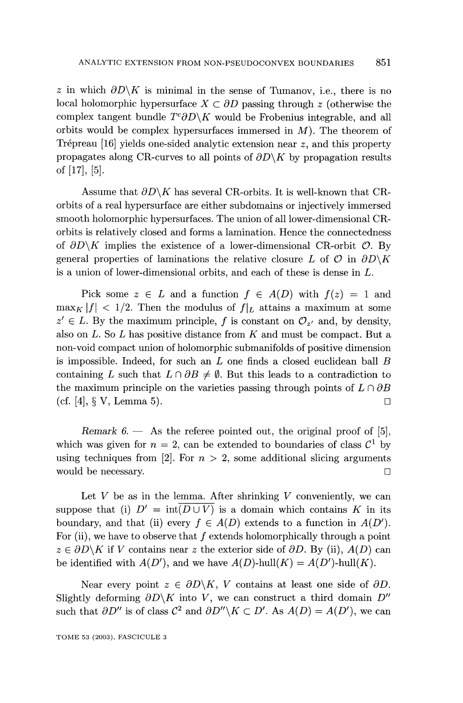z in which  $\partial D\setminus K$  is minimal in the sense of Tumanov, i.e., there is no local holomorphic hypersurface  $X \subset \partial D$  passing through z (otherwise the complex tangent bundle  $T^c \partial D \backslash K$  would be Frobenius integrable, and all orbits would be complex hypersurfaces immersed in  $M$ ). The theorem of Trépreau [16] yields one-sided analytic extension near z, and this property propagates along CR-curves to all points of  $\partial D \backslash K$  by propagation results of [17], [5].

Assume that  $\partial D\backslash K$  has several CR-orbits. It is well-known that CRorbits of a real hypersurface are either subdomains or injectively immersed smooth holomorphic hypersurfaces. The union of all lower-dimensional CRorbits is relatively closed and forms a lamination. Hence the connectedness of  $\partial D\backslash K$  implies the existence of a lower-dimensional CR-orbit  $\mathcal{O}$ . By general properties of laminations the relative closure L of  $\mathcal O$  in  $\partial D\backslash K$ is a union of lower-dimensional orbits, and each of these is dense in L.

Pick some  $z \in L$  and a function  $f \in A(D)$  with  $f(z) = 1$  and  $\max_K |f| < 1/2$ . Then the modulus of  $f|_L$  attains a maximum at some  $z' \in L$ . By the maximum principle, f is constant on  $\mathcal{O}_{z'}$  and, by density, also on  $L$ . So  $L$  has positive distance from  $K$  and must be compact. But a non-void compact union of holomorphic submanifolds of positive dimension is impossible. Indeed, for such an  $L$  one finds a closed euclidean ball  $B$ containing L such that  $L \cap \partial B \neq \emptyset$ . But this leads to a contradiction to the maximum principle on the varieties passing through points of  $L \cap \partial B$ (cf. [4],  $\S$  V, Lemma 5).

Remark  $6.$  - As the referee pointed out, the original proof of [5], which was given for  $n = 2$ , can be extended to boundaries of class  $C^1$  by using techniques from [2]. For  $n > 2$ , some additional slicing arguments would be necessary.  $\Box$ 

Let  $V$  be as in the lemma. After shrinking  $V$  conveniently, we can suppose that (i)  $D' = \text{int}(D \cup V)$  is a domain which contains K in its boundary, and that (ii) every  $f \in A(D)$  extends to a function in  $A(D')$ . For (ii), we have to observe that  $f$  extends holomorphically through a point  $z \in \partial D\backslash K$  if V contains near z the exterior side of  $\partial D$ . By (ii),  $A(D)$  can be identified with  $A(D')$ , and we have  $A(D)$ -hull $(K) = A(D')$ -hull $(K)$ .

Near every point  $z \in \partial D \backslash K$ , V contains at least one side of  $\partial D$ . Slightly deforming  $\partial D\backslash K$  into V, we can construct a third domain  $D''$ such that  $\partial D''$  is of class  $C^2$  and  $\partial D'' \backslash K \subset D'$ . As  $A(D) = A(D')$ , we can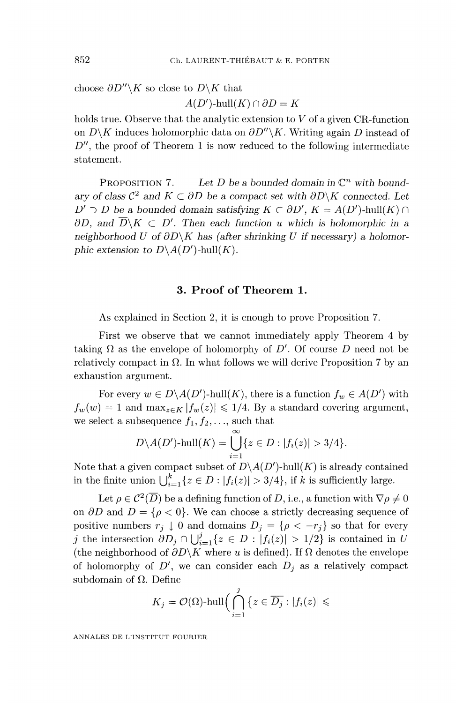choose  $\partial D''\backslash K$  so close to  $D\backslash K$  that

 $A(D')$ -hull $(K) \cap \partial D = K$ 

holds true. Observe that the analytic extension to  $V$  of a given CR-function on  $D\backslash K$  induces holomorphic data on  $\partial D''\backslash K$ . Writing again D instead of  $D''$ , the proof of Theorem 1 is now reduced to the following intermediate statement.

PROPOSITION 7. - Let D be a bounded domain in  $\mathbb{C}^n$  with boundary of class  $\mathcal{C}^2$  and  $K \subset \partial D$  be a compact set with  $\partial D \backslash K$  connected. Let  $D' \supset D$  be a bounded domain satisfying  $K \subset \partial D'$ ,  $K = A(D')$ -hull $(K) \cap$  $\partial D$ , and  $\overline{D}\backslash K \subset D'$ . Then each function u which is holomorphic in a neighborhood U of  $\partial D\backslash K$  has (after shrinking U if necessary) a holomorphic extension to  $D \backslash A(D')$ -hull $(K)$ .

### 3. Proof of Theorem 1.

As explained in Section 2, it is enough to prove Proposition 7.

First we observe that we cannot immediately apply Theorem 4 by taking  $\Omega$  as the envelope of holomorphy of D'. Of course D need not be relatively compact in  $\Omega$ . In what follows we will derive Proposition 7 by an exhaustion argument.

For every  $w \in D \backslash A(D')$ -hull $(K)$ , there is a function  $f_w \in A(D')$  with  $f_w(w) = 1$  and  $\max_{z \in K} |f_w(z)| \leq 1/4$ . By a standard covering argument, we select a subsequence  $f_1, f_2, \ldots$ , such that

$$
D\backslash A(D')\text{-hull}(K)=\bigcup_{i=1}^{\infty}\{z\in D:|f_i(z)|>3/4\}.
$$

Note that a given compact subset of  $D\setminus A(D')$ -hull(K) is already contained in the finite union  $\bigcup_{i=1}^k \{z \in D : |f_i(z)| > 3/4\}$ , if k is sufficiently large.

Let  $\rho \in C^2(\overline{D})$  be a defining function of D, i.e., a function with  $\nabla \rho \neq 0$ on  $\partial D$  and  $D = \{ \rho < 0 \}$ . We can choose a strictly decreasing sequence of positive numbers  $r_j \downarrow 0$  and domains  $D_j = \{ \rho < -r_j \}$  so that for every j the intersection  $\partial D_j \cap \bigcup_{i=1}^j \{z \in D : |f_i(z)| > 1/2\}$  is contained in U (the neighborhood of  $\partial D\backslash K$  where  $u$  is defined). If  $\Omega$  denotes the envelope of holomorphy of  $D'$ , we can consider each  $D_i$  as a relatively compact subdomain of  $\Omega$ . Define

$$
K_j=\mathcal{O}(\Omega)\text{-}\mathrm{hull}\Big(\bigcap_{i=1}^j\big\{z\in\overline{D_j}:|f_i(z)|\leqslant
$$

ANNALES DE L'INSTITUT FOURIER

852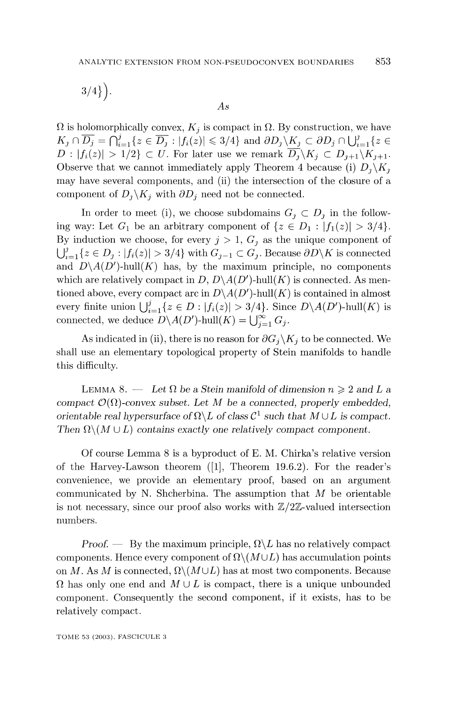$$
3/4\big\}\Big).
$$

 $As$ 

 $\Omega$  is holomorphically convex,  $K_j$  is compact in  $\Omega$ . By construction, we have  $K_j \cap \overline{D_j} = \bigcap_{i=1}^j \{z \in \overline{D_j} : |f_i(z)| \leq 3/4\}$  and  $\partial D_j \setminus K_j \subset \partial D_j \cap \bigcup_{i=1}^j \{z \in \overline{D_j} \}$  $D: |f_i(z)| > 1/2$   $\subset U$ . For later use we remark  $\overline{D_i} \backslash K_i \subset D_{i+1} \backslash K_{i+1}$ . Observe that we cannot immediately apply Theorem 4 because (i)  $D_i \backslash K_i$ may have several components, and (ii) the intersection of the closure of a component of  $D_i \backslash K_i$  with  $\partial D_i$  need not be connected.

In order to meet (i), we choose subdomains  $G_i \subset D_i$  in the following way: Let  $G_1$  be an arbitrary component of  $\{z \in D_1 : |f_1(z)| > 3/4\}.$ By induction we choose, for every  $j > 1$ ,  $G_i$  as the unique component of  $\bigcup_{i=1}^{j} \{z \in D_i : |f_i(z)| > 3/4\}$  with  $G_{j-1} \subset G_j$ . Because  $\partial D \backslash K$  is connected and  $D\setminus A(D')$ -hull(K) has, by the maximum principle, no components which are relatively compact in D,  $D\setminus A(D')$ -hull(K) is connected. As mentioned above, every compact arc in  $D\setminus A(D')$ -hull(K) is contained in almost every finite union  $\bigcup_{i=1}^{j} \{z \in D : |f_i(z)| > 3/4\}$ . Since  $D \setminus A(D')$ -hull $(K)$  is connected, we deduce  $D \backslash A(D')$ -hull $(K) = \bigcup_{i=1}^{\infty} G_i$ .

As indicated in (ii), there is no reason for  $\partial G_i \backslash K_i$  to be connected. We shall use an elementary topological property of Stein manifolds to handle this difficulty.

LEMMA 8. - Let  $\Omega$  be a Stein manifold of dimension  $n \geqslant 2$  and L a compact  $\mathcal{O}(\Omega)$ -convex subset. Let M be a connected, properly embedded, orientable real hypersurface of  $\Omega \backslash L$  of class  $\mathcal{C}^1$  such that  $M \cup L$  is compact. Then  $\Omega \setminus (M \cup L)$  contains exactly one relatively compact component.

Of course Lemma 8 is a byproduct of E. M. Chirka's relative version of the Harvey-Lawson theorem ([I], Theorem 19.6.2). For the reader's convenience, we provide an elementary proof, based on an argument communicated by N. Shcherbina. The assumption that  $M$  be orientable is not necessary, since our proof also works with  $\mathbb{Z}/2\mathbb{Z}$ -valued intersection numbers.

Proof.  $\rightarrow$  By the maximum principle,  $\Omega \backslash L$  has no relatively compact components. Hence every component of  $\Omega \setminus (M \cup L)$  has accumulation points on M. As M is connected,  $\Omega \backslash (M \cup L)$  has at most two components. Because  $\Omega$  has only one end and  $M \cup L$  is compact, there is a unique unbounded component. Consequently the second component, if it exists, has to be relatively compact.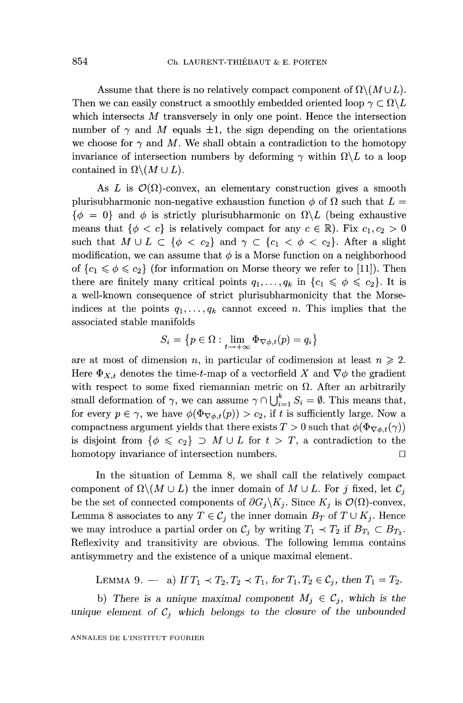Assume that there is no relatively compact component of  $\Omega \setminus (M \cup L)$ . Then we can easily construct a smoothly embedded oriented loop  $\gamma \subset \Omega \backslash L$ which intersects M transversely in only one point. Hence the intersection number of  $\gamma$  and M equals  $\pm 1$ , the sign depending on the orientations we choose for  $\gamma$  and M. We shall obtain a contradiction to the homotopy invariance of intersection numbers by deforming  $\gamma$  within  $\Omega \backslash L$  to a loop contained in  $\Omega \backslash (M \cup L)$ .

As L is  $\mathcal{O}(\Omega)$ -convex, an elementary construction gives a smooth plurisubharmonic non-negative exhaustion function  $\phi$  of  $\Omega$  such that  $L =$  $\{\phi = 0\}$  and  $\phi$  is strictly plurisubharmonic on  $\Omega \backslash L$  (being exhaustive means that  $\{\phi < c\}$  is relatively compact for any  $c \in \mathbb{R}$ ). Fix  $c_1, c_2 > 0$ such that  $M \cup L \subset \{\phi < c_2\}$  and  $\gamma \subset \{c_1 < \phi < c_2\}$ . After a slight modification, we can assume that  $\phi$  is a Morse function on a neighborhood of  ${c_1 \leq \phi \leq c_2}$  (for information on Morse theory we refer to [11]). Then there are finitely many critical points  $q_1, \ldots, q_k$  in  $\{c_1 \leq \phi \leq c_2\}$ . It is a well-known consequence of strict plurisubharmonicity that the Morseindices at the points  $q_1, \ldots, q_k$  cannot exceed n. This implies that the associated stable manifolds

$$
S_i = \big\{ p \in \Omega : \lim_{t \to +\infty} \Phi_{\nabla \phi, t}(p) = q_i \big\}
$$

are at most of dimension n, in particular of codimension at least  $n \geq 2$ . Here  $\Phi_{X,t}$  denotes the time-t-map of a vectorfield X and  $\nabla \phi$  the gradient with respect to some fixed riemannian metric on  $\Omega$ . After an arbitrarily small deformation of  $\gamma$ , we can assume  $\gamma \cap \bigcup_{i=1}^k S_i = \emptyset$ . This means that, for every  $p \in \gamma$ , we have  $\phi(\Phi_{\nabla \phi,t}(p)) > c_2$ , if t is sufficiently large. Now a compactness argument yields that there exists  $T > 0$  such that  $\phi(\Phi_{\nabla \phi, t}(\gamma))$ is disjoint from  $\{\phi \leq c_2\} \supset M \cup L$  for  $t > T$ , a contradiction to the homotopy invariance of intersection numbers.

In the situation of Lemma 8, we shall call the relatively compact component of  $\Omega \setminus (M \cup L)$  the inner domain of  $M \cup L$ . For j fixed, let  $C_i$ be the set of connected components of  $\partial G_i \backslash K_j$ . Since  $K_j$  is  $\mathcal{O}(\Omega)$ -convex, Lemma 8 associates to any  $T \in \mathcal{C}_j$  the inner domain  $B_T$  of  $T \cup K_j$ . Hence we may introduce a partial order on  $C_j$  by writing  $T_1 \prec T_2$  if  $B_{T_1} \subset B_{T_2}$ . Reflexivity and transitivity are obvious. The following lemma contains antisymmetry and the existence of a unique maximal element.

LEMMA 9. - a) If  $T_1 \prec T_2, T_2 \prec T_1$ , for  $T_1, T_2 \in \mathcal{C}_i$ , then  $T_1 = T_2$ .

b) There is a unique maximal component  $M_j \in \mathcal{C}_j$ , which is the unique element of  $\mathcal{C}_j$  which belongs to the closure of the unbounded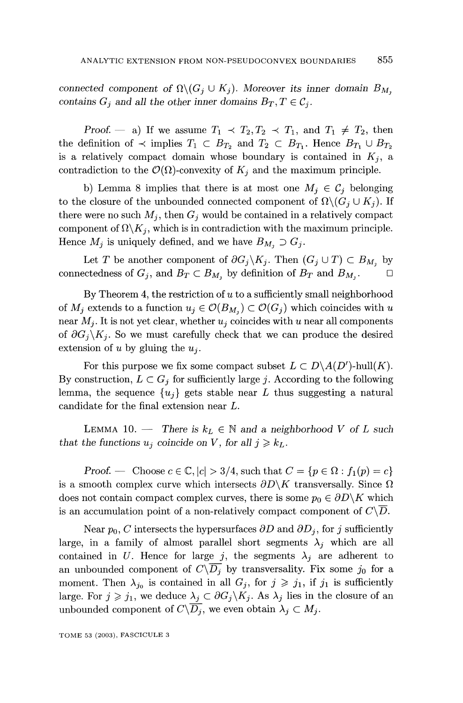connected component of  $\Omega \backslash (G_i \cup K_j)$ . Moreover its inner domain  $B_{M_i}$ contains  $G_i$  and all the other inner domains  $B_T, T \in \mathcal{C}_i$ .

Proof. - a) If we assume  $T_1 \prec T_2, T_2 \prec T_1$ , and  $T_1 \neq T_2$ , then the definition of  $\prec$  implies  $T_1 \subset B_{T_2}$  and  $T_2 \subset B_{T_1}$ . Hence  $B_{T_1} \cup B_{T_2}$ is a relatively compact domain whose boundary is contained in  $K_i$ , a contradiction to the  $\mathcal{O}(\Omega)$ -convexity of  $K_i$  and the maximum principle.

b) Lemma 8 implies that there is at most one  $M_i \in \mathcal{C}_i$  belonging to the closure of the unbounded connected component of  $\Omega \backslash (G_i \cup K_j)$ . If there were no such  $M_j$ , then  $G_j$  would be contained in a relatively compact component of  $\Omega \backslash K_i$ , which is in contradiction with the maximum principle. Hence  $M_j$  is uniquely defined, and we have  $B_{M_j} \supset G_j$ .

Let T be another component of  $\partial G_j \backslash K_j$ . Then  $(G_j \cup T) \subset B_{M_j}$  by connectedness of  $G_j$ , and  $B_T \subset B_{M_1}$  by definition of  $B_T$  and  $B_{M_1}$ .

By Theorem 4, the restriction of  $u$  to a sufficiently small neighborhood of  $M_i$  extends to a function  $u_j \in \mathcal{O}(B_{M_i}) \subset \mathcal{O}(G_i)$  which coincides with u near  $M_i$ . It is not yet clear, whether  $u_i$  coincides with u near all components of  $\partial G_i \backslash K_i$ . So we must carefully check that we can produce the desired extension of u by gluing the  $u_i$ .

For this purpose we fix some compact subset  $L \subset D \setminus A(D')$ -hull $(K)$ . By construction,  $L \subset G_j$  for sufficiently large j. According to the following lemma, the sequence  $\{u_i\}$  gets stable near L thus suggesting a natural candidate for the final extension near L.

LEMMA 10. - There is  $k_L \in \mathbb{N}$  and a neighborhood V of L such that the functions  $u_j$  coincide on V, for all  $j \geq k_L$ .

Proof. Choose  $c \in \mathbb{C}$ ,  $|c| > 3/4$ , such that  $C = \{p \in \Omega : f_1(p) = c\}$ is a smooth complex curve which intersects  $\partial D\backslash K$  transversally. Since  $\Omega$ does not contain compact complex curves, there is some  $p_0 \in \partial D \backslash K$  which is an accumulation point of a non-relatively compact component of  $C\backslash D$ .

Near  $p_0$ , C intersects the hypersurfaces  $\partial D$  and  $\partial D_j$ , for j sufficiently large, in a family of almost parallel short segments  $\lambda_j$  which are all contained in U. Hence for large j, the segments  $\lambda_j$  are adherent to an unbounded component of  $C\backslash D_j$  by transversality. Fix some  $j_0$  for a moment. Then  $\lambda_{j_0}$  is contained in all  $G_j$ , for  $j \geq j_1$ , if  $j_1$  is sufficiently large. For  $j \geq j_1$ , we deduce  $\lambda_j \subset \partial G_j \backslash K_j$ . As  $\lambda_j$  lies in the closure of an unbounded component of  $C\backslash\overline{D_i}$ , we even obtain  $\lambda_j \subset M_j$ .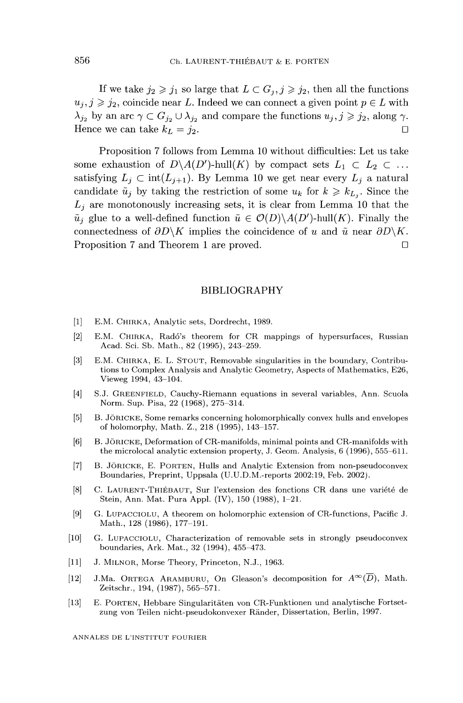If we take  $j_2 \geq j_1$  so large that  $L \subset G_j, j \geq j_2$ , then all the functions  $u_j, j \geq j_2$ , coincide near L. Indeed we can connect a given point  $p \in L$  with  $\lambda_{j_2}$  by an arc  $\gamma \subset G_{j_2} \cup \lambda_{j_2}$  and compare the functions  $u_j, j \geq j_2$ , along  $\gamma$ . Hence we can take  $k_L = j_2$ .

Proposition 7 follows from Lemma 10 without difhculties: Let us take some exhaustion of  $D\setminus A(D')$ -hull $(K)$  by compact sets  $L_1 \subset L_2 \subset \ldots$ satisfying  $L_j \subset \text{int}(L_{j+1})$ . By Lemma 10 we get near every  $L_j$  a natural candidate  $\tilde{u}_j$  by taking the restriction of some  $u_k$  for  $k \geq k_{L_i}$ . Since the  $L_i$  are monotonously increasing sets, it is clear from Lemma 10 that the  $\tilde{u}_j$  glue to a well-defined function  $\tilde{u} \in \mathcal{O}(D) \backslash A(D')$ -hull $(K)$ . Finally the connectedness of  $\partial D\backslash K$  implies the coincidence of u and  $\tilde{u}$  near  $\partial D\backslash K$ . Proposition 7 and Theorem 1 are proved.

#### BIBLIOGRAPHY

- [1] E.M. CHIRKA, Analytic sets, Dordrecht, 1989.
- [2] E.M. CHIRKA, Radó's theorem for CR mappings of hypersurfaces, Russian Acad. Sci. Sb. Math., 82 (1995), 243-259.
- [3] E.M. CHIRKA, E. L. STOUT, Removable singularities in the boundary, Contributions to Complex Analysis and Analytic Geometry, Aspects of Mathematics, E26, Vieweg 1994, 43-104.
- [4] S.J. GREENFIELD, Cauchy-Riemann equations in several variables, Ann. Scuola Norm. Sup. Pisa, 22 (1968), 275-314.
- [5] B. JÖRICKE, Some remarks concerning holomorphically convex hulls and envelopes of holomorphy, Math. Z., 218 (1995), 143-157.
- [6] B. JÖRICKE, Deformation of CR-manifolds, minimal points and CR-manifolds with the microlocal analytic extension property, J. Geom. Analysis, 6 (1996), 555-611.
- [7] B. JÖRICKE, E. PORTEN, Hulls and Analytic Extension from non-pseudoconvex Boundaries, Preprint, Uppsala (U.U.D.M.-reports 2002:19, Feb. 2002).
- [8] C. LAURENT-THIÉBAUT, Sur l'extension des fonctions CR dans une variété de Stein, Ann. Mat. Pura Appl. (IV), 150 (1988), 1-21.
- [9] G. LUPACCIOLU, A theorem on holomorphic extension of CR-functions, Pacific J. Math., 128 (1986), 177-191.
- [10] G. LUPACCIOLU, Characterization of removable sets in strongly pseudoconvex boundaries, Ark. Mat., 32 (1994), 455-473.
- [11] J. MILNOR, Morse Theory, Princeton, N.J., 1963.
- [12] J.Ma. ORTEGA ARAMBURU, On Gleason's decomposition for  $A^{\infty}(\overline{D})$ , Math. Zeitschr., 194, (1987), 565-571.
- [13] E. PORTEN, Hebbare Singularitäten von CR-Funktionen und analytische Fortsetzung von Teilen nicht-pseudokonvexer Ränder, Dissertation, Berlin, 1997.